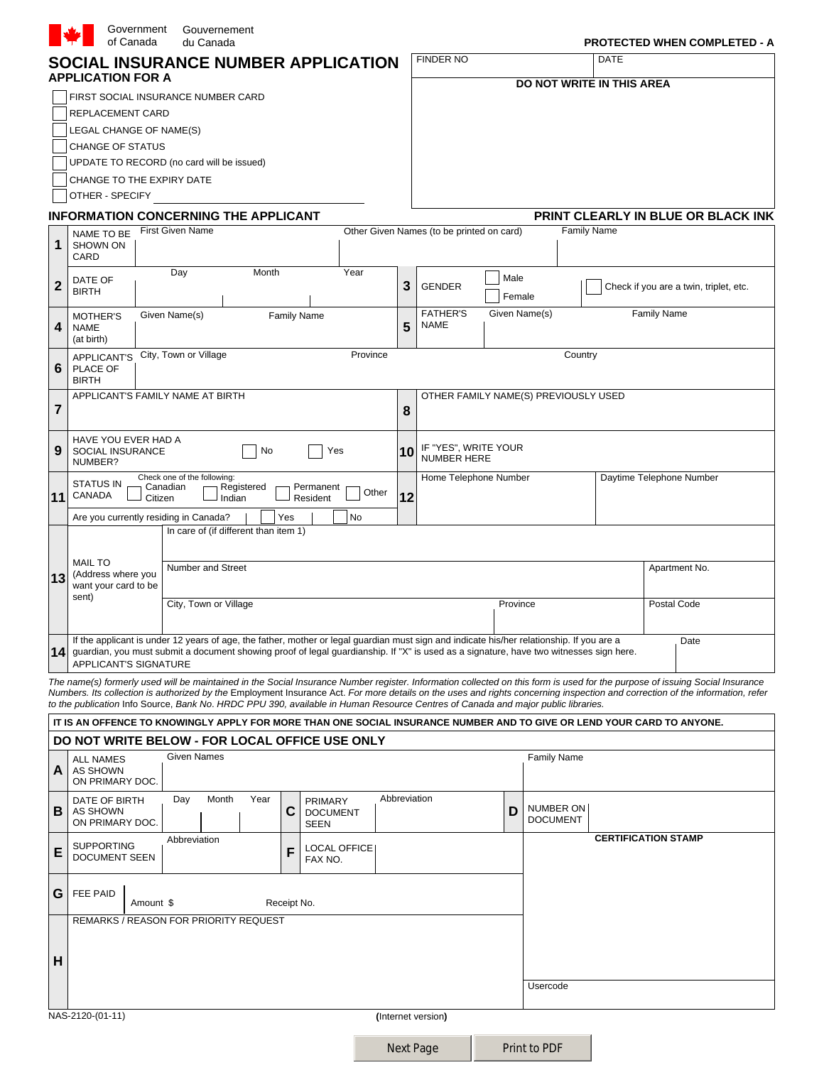|                | Government<br>of Canada                                       | Gouvernement<br>du Canada                                                                                                                                                                                                                                                           |                              |          |              |                                            |          |                                      |             | <b>PROTECTED WHEN COMPLETED - A</b>                                                                                                                                           |
|----------------|---------------------------------------------------------------|-------------------------------------------------------------------------------------------------------------------------------------------------------------------------------------------------------------------------------------------------------------------------------------|------------------------------|----------|--------------|--------------------------------------------|----------|--------------------------------------|-------------|-------------------------------------------------------------------------------------------------------------------------------------------------------------------------------|
|                |                                                               | SOCIAL INSURANCE NUMBER APPLICATION                                                                                                                                                                                                                                                 |                              |          |              | <b>FINDER NO</b>                           |          |                                      | <b>DATE</b> |                                                                                                                                                                               |
|                | <b>APPLICATION FOR A</b>                                      |                                                                                                                                                                                                                                                                                     |                              |          |              |                                            |          | DO NOT WRITE IN THIS AREA            |             |                                                                                                                                                                               |
|                |                                                               | FIRST SOCIAL INSURANCE NUMBER CARD                                                                                                                                                                                                                                                  |                              |          |              |                                            |          |                                      |             |                                                                                                                                                                               |
|                | REPLACEMENT CARD<br>LEGAL CHANGE OF NAME(S)                   |                                                                                                                                                                                                                                                                                     |                              |          |              |                                            |          |                                      |             |                                                                                                                                                                               |
|                | CHANGE OF STATUS                                              |                                                                                                                                                                                                                                                                                     |                              |          |              |                                            |          |                                      |             |                                                                                                                                                                               |
|                |                                                               | UPDATE TO RECORD (no card will be issued)                                                                                                                                                                                                                                           |                              |          |              |                                            |          |                                      |             |                                                                                                                                                                               |
|                | CHANGE TO THE EXPIRY DATE                                     |                                                                                                                                                                                                                                                                                     |                              |          |              |                                            |          |                                      |             |                                                                                                                                                                               |
|                | OTHER - SPECIFY                                               |                                                                                                                                                                                                                                                                                     |                              |          |              |                                            |          |                                      |             |                                                                                                                                                                               |
|                |                                                               | <b>INFORMATION CONCERNING THE APPLICANT</b>                                                                                                                                                                                                                                         |                              |          |              |                                            |          |                                      |             | PRINT CLEARLY IN BLUE OR BLACK INK                                                                                                                                            |
| 1              | NAME TO BE<br><b>SHOWN ON</b><br>CARD                         | <b>First Given Name</b>                                                                                                                                                                                                                                                             |                              |          |              | Other Given Names (to be printed on card)  |          | <b>Family Name</b>                   |             |                                                                                                                                                                               |
|                | DATE OF                                                       | Month<br>Day                                                                                                                                                                                                                                                                        |                              | Year     |              |                                            | Male     |                                      |             |                                                                                                                                                                               |
| $\mathbf{2}$   | <b>BIRTH</b>                                                  |                                                                                                                                                                                                                                                                                     |                              |          | 3            | <b>GENDER</b>                              | Female   |                                      |             | Check if you are a twin, triplet, etc.                                                                                                                                        |
|                | <b>MOTHER'S</b>                                               | Given Name(s)                                                                                                                                                                                                                                                                       | <b>Family Name</b>           |          |              | <b>FATHER'S</b>                            |          | Given Name(s)                        |             | <b>Family Name</b>                                                                                                                                                            |
| 4              | <b>NAME</b><br>(at birth)                                     |                                                                                                                                                                                                                                                                                     |                              |          | 5            | <b>NAME</b>                                |          |                                      |             |                                                                                                                                                                               |
| 6              | APPLICANT'S City, Town or Village<br>PLACE OF<br><b>BIRTH</b> |                                                                                                                                                                                                                                                                                     |                              | Province |              |                                            |          | Country                              |             |                                                                                                                                                                               |
|                | APPLICANT'S FAMILY NAME AT BIRTH                              |                                                                                                                                                                                                                                                                                     |                              |          |              |                                            |          | OTHER FAMILY NAME(S) PREVIOUSLY USED |             |                                                                                                                                                                               |
| $\overline{7}$ |                                                               |                                                                                                                                                                                                                                                                                     |                              |          | 8            |                                            |          |                                      |             |                                                                                                                                                                               |
| 9              | HAVE YOU EVER HAD A<br>SOCIAL INSURANCE<br>NUMBER?            | No                                                                                                                                                                                                                                                                                  | Yes                          |          | 10           | IF "YES", WRITE YOUR<br><b>NUMBER HERE</b> |          |                                      |             |                                                                                                                                                                               |
| 11             | <b>STATUS IN</b><br>CANADA<br>Citizen                         | Check one of the following:<br>Canadian<br>Registered<br>Indian                                                                                                                                                                                                                     | Permanent<br>Resident        | Other    | 12           | Home Telephone Number                      |          |                                      |             | Daytime Telephone Number                                                                                                                                                      |
|                | Are you currently residing in Canada?                         |                                                                                                                                                                                                                                                                                     | Yes                          | No       |              |                                            |          |                                      |             |                                                                                                                                                                               |
|                |                                                               | In care of (if different than item 1)                                                                                                                                                                                                                                               |                              |          |              |                                            |          |                                      |             |                                                                                                                                                                               |
|                | <b>MAIL TO</b>                                                | Number and Street                                                                                                                                                                                                                                                                   |                              |          |              |                                            |          |                                      |             | Apartment No.                                                                                                                                                                 |
| 13             | (Address where you<br>want your card to be                    |                                                                                                                                                                                                                                                                                     |                              |          |              |                                            |          |                                      |             |                                                                                                                                                                               |
|                | sent)                                                         | City, Town or Village                                                                                                                                                                                                                                                               |                              |          |              |                                            | Province |                                      |             | Postal Code                                                                                                                                                                   |
|                |                                                               |                                                                                                                                                                                                                                                                                     |                              |          |              |                                            |          |                                      |             |                                                                                                                                                                               |
| 14             | <b>APPLICANT'S SIGNATURE</b>                                  | If the applicant is under 12 years of age, the father, mother or legal guardian must sign and indicate his/her relationship. If you are a<br>guardian, you must submit a document showing proof of legal guardianship. If "X" is used as a signature, have two witnesses sign here. |                              |          |              |                                            |          |                                      |             | Date                                                                                                                                                                          |
|                |                                                               |                                                                                                                                                                                                                                                                                     |                              |          |              |                                            |          |                                      |             | The name(s) formerly used will be maintained in the Social Insurance Number register. Information collected on this form is used for the purpose of issuing Social Insurance  |
|                |                                                               | to the publication Info Source, Bank No. HRDC PPU 390, available in Human Resource Centres of Canada and major public libraries.                                                                                                                                                    |                              |          |              |                                            |          |                                      |             | Numbers. Its collection is authorized by the Employment Insurance Act. For more details on the uses and rights concerning inspection and correction of the information, refer |
|                |                                                               | IT IS AN OFFENCE TO KNOWINGLY APPLY FOR MORE THAN ONE SOCIAL INSURANCE NUMBER AND TO GIVE OR LEND YOUR CARD TO ANYONE.                                                                                                                                                              |                              |          |              |                                            |          |                                      |             |                                                                                                                                                                               |
|                |                                                               | DO NOT WRITE BELOW - FOR LOCAL OFFICE USE ONLY                                                                                                                                                                                                                                      |                              |          |              |                                            |          |                                      |             |                                                                                                                                                                               |
| А              | <b>ALL NAMES</b><br>AS SHOWN<br>ON PRIMARY DOC.               | <b>Given Names</b>                                                                                                                                                                                                                                                                  |                              |          |              |                                            |          | <b>Family Name</b>                   |             |                                                                                                                                                                               |
|                | DATE OF BIRTH                                                 | Month<br>Year<br>Day                                                                                                                                                                                                                                                                | <b>PRIMARY</b>               |          | Abbreviation |                                            |          |                                      |             |                                                                                                                                                                               |
| В              | AS SHOWN<br>ON PRIMARY DOC.                                   |                                                                                                                                                                                                                                                                                     | C<br><b>DOCUMENT</b><br>SEEN |          |              |                                            | D        | NUMBER ON<br><b>DOCUMENT</b>         |             |                                                                                                                                                                               |
| E              | <b>SUPPORTING</b><br><b>DOCUMENT SEEN</b>                     | Abbreviation                                                                                                                                                                                                                                                                        | LOCAL OFFICE<br>F<br>FAX NO. |          |              |                                            |          |                                      |             | <b>CERTIFICATION STAMP</b>                                                                                                                                                    |
| G              | FEE PAID<br>Amount \$                                         |                                                                                                                                                                                                                                                                                     | Receipt No.                  |          |              |                                            |          |                                      |             |                                                                                                                                                                               |
|                |                                                               | REMARKS / REASON FOR PRIORITY REQUEST                                                                                                                                                                                                                                               |                              |          |              |                                            |          |                                      |             |                                                                                                                                                                               |
|                |                                                               |                                                                                                                                                                                                                                                                                     |                              |          |              |                                            |          |                                      |             |                                                                                                                                                                               |
| н              |                                                               |                                                                                                                                                                                                                                                                                     |                              |          |              |                                            |          |                                      |             |                                                                                                                                                                               |
|                |                                                               |                                                                                                                                                                                                                                                                                     |                              |          |              |                                            |          |                                      |             |                                                                                                                                                                               |
|                |                                                               |                                                                                                                                                                                                                                                                                     |                              |          |              |                                            |          | Usercode                             |             |                                                                                                                                                                               |
|                | NAS-2120-(01-11)                                              |                                                                                                                                                                                                                                                                                     |                              |          |              | (Internet version)                         |          |                                      |             |                                                                                                                                                                               |
|                |                                                               |                                                                                                                                                                                                                                                                                     |                              |          |              |                                            |          |                                      |             |                                                                                                                                                                               |
|                |                                                               |                                                                                                                                                                                                                                                                                     |                              |          |              | <b>Next Page</b>                           |          | Print to PDF                         |             |                                                                                                                                                                               |